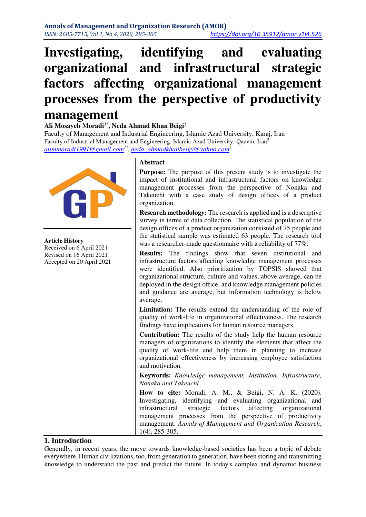# **Investigating, identifying and evaluating organizational and infrastructural strategic factors affecting organizational management processes from the perspective of productivity management**

#### **Ali Mosayeb Moradi1\*, Neda Ahmad Khan Beigi<sup>2</sup>**

Faculty of Management and Industrial Engineering, Islamic Azad University, Karaj, Iran<sup>1</sup> Faculty of Industrial Management and Engineering, Islamic Azad University, Qazvin, Iran<sup>2</sup> *[alimmoradi1991@gmail.com](mailto:alimmoradi1991@gmail.com)1\* , [neda\\_ahmadkhanbeigy@yahoo.com](mailto:neda_ahmadkhanbeigy@yahoo.com)*<sup>2</sup>



**Article History**  Received on 6 April 2021 Revised on 16 April 2021 Accepted on 20 April 2021

#### **Abstract**

**Purpose:** The purpose of this present study is to investigate the impact of institutional and infrastructural factors on knowledge management processes from the perspective of Nonaka and Takeuchi with a case study of design offices of a product organization.

**Research methodology:** The research is applied and is a descriptive survey in terms of data collection. The statistical population of the design offices of a product organization consisted of 75 people and the statistical sample was estimated 63 people. The research tool was a researcher-made questionnaire with a reliability of 77%.

**Results:** The findings show that seven institutional and infrastructure factors affecting knowledge management processes were identified. Also prioritization by TOPSIS showed that organizational structure, culture and values, above average, can be deployed in the design office, and knowledge management policies and guidance are average, but information technology is below average.

Limitation: The results extend the understanding of the role of quality of work-life in organizational effectiveness. The research findings have implications for human resource managers.

**Contribution:** The results of the study help the human resource managers of organizations to identify the elements that affect the quality of work-life and help them in planning to increase organizational effectiveness by increasing employee satisfaction and motivation.

**Keywords:** *Knowledge management, Institution, Infrastructure, Nonaka and Takeuchi* 

**How to cite:** Moradi, A. M., & Beigi, N. A. K. (2020). Investigating, identifying and evaluating organizational and infrastructural strategic factors affecting organizational management processes from the perspective of productivity management. *Annals of Management and Organization Research*, 1(4), 285-305.

## **1. Introduction**

Generally, in recent years, the move towards knowledge-based societies has been a topic of debate everywhere. Human civilizations, too, from generation to generation, have been storing and transmitting knowledge to understand the past and predict the future. In today's complex and dynamic business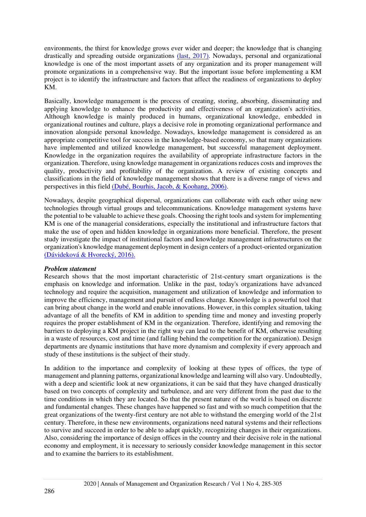environments, the thirst for knowledge grows ever wider and deeper; the knowledge that is changing drastically and spreading outside organizations [\(last, 2017\).](#page-19-0) Nowadays, personal and organizational knowledge is one of the most important assets of any organization and its proper management will promote organizations in a comprehensive way. But the important issue before implementing a KM project is to identify the infrastructure and factors that affect the readiness of organizations to deploy KM.

Basically, knowledge management is the process of creating, storing, absorbing, disseminating and applying knowledge to enhance the productivity and effectiveness of an organization's activities. Although knowledge is mainly produced in humans, organizational knowledge, embedded in organizational routines and culture, plays a decisive role in promoting organizational performance and innovation alongside personal knowledge. Nowadays, knowledge management is considered as an appropriate competitive tool for success in the knowledge-based economy, so that many organizations have implemented and utilized knowledge management, but successful management deployment. Knowledge in the organization requires the availability of appropriate infrastructure factors in the organization. Therefore, using knowledge management in organizations reduces costs and improves the quality, productivity and profitability of the organization. A review of existing concepts and classifications in the field of knowledge management shows that there is a diverse range of views and perspectives in this field [\(Dubé, Bourhis, Jacob, & Koohang, 2006\).](#page-18-0)

Nowadays, despite geographical dispersal, organizations can collaborate with each other using new technologies through virtual groups and telecommunications. Knowledge management systems have the potential to be valuable to achieve these goals. Choosing the right tools and system for implementing KM is one of the managerial considerations, especially the institutional and infrastructure factors that make the use of open and hidden knowledge in organizations more beneficial. Therefore, the present study investigate the impact of institutional factors and knowledge management infrastructures on the organization's knowledge management deployment in design centers of a product-oriented organization [\(Dávideková & Hvorecký, 2016\).](#page-18-1)

#### *Problem statement*

Research shows that the most important characteristic of 21st-century smart organizations is the emphasis on knowledge and information. Unlike in the past, today's organizations have advanced technology and require the acquisition, management and utilization of knowledge and information to improve the efficiency, management and pursuit of endless change. Knowledge is a powerful tool that can bring about change in the world and enable innovations. However, in this complex situation, taking advantage of all the benefits of KM in addition to spending time and money and investing properly requires the proper establishment of KM in the organization. Therefore, identifying and removing the barriers to deploying a KM project in the right way can lead to the benefit of KM, otherwise resulting in a waste of resources, cost and time (and falling behind the competition for the organization). Design departments are dynamic institutions that have more dynamism and complexity if every approach and study of these institutions is the subject of their study.

In addition to the importance and complexity of looking at these types of offices, the type of management and planning patterns, organizational knowledge and learning will also vary. Undoubtedly, with a deep and scientific look at new organizations, it can be said that they have changed drastically based on two concepts of complexity and turbulence, and are very different from the past due to the time conditions in which they are located. So that the present nature of the world is based on discrete and fundamental changes. These changes have happened so fast and with so much competition that the great organizations of the twenty-first century are not able to withstand the emerging world of the 21st century. Therefore, in these new environments, organizations need natural systems and their reflections to survive and succeed in order to be able to adapt quickly, recognizing changes in their organizations. Also, considering the importance of design offices in the country and their decisive role in the national economy and employment, it is necessary to seriously consider knowledge management in this sector and to examine the barriers to its establishment.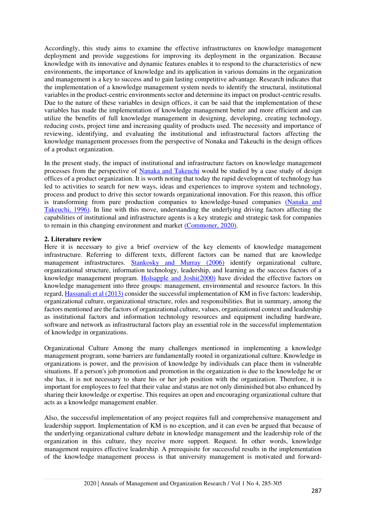Accordingly, this study aims to examine the effective infrastructures on knowledge management deployment and provide suggestions for improving its deployment in the organization. Because knowledge with its innovative and dynamic features enables it to respond to the characteristics of new environments, the importance of knowledge and its application in various domains in the organization and management is a key to success and to gain lasting competitive advantage. Research indicates that the implementation of a knowledge management system needs to identify the structural, institutional variables in the product-centric environments sector and determine its impact on product-centric results. Due to the nature of these variables in design offices, it can be said that the implementation of these variables has made the implementation of knowledge management better and more efficient and can utilize the benefits of full knowledge management in designing, developing, creating technology, reducing costs, project time and increasing quality of products used. The necessity and importance of reviewing, identifying, and evaluating the institutional and infrastructural factors affecting the knowledge management processes from the perspective of Nonaka and Takeuchi in the design offices of a product organization.

In the present study, the impact of institutional and infrastructure factors on knowledge management processes from the perspective of [Nanaka and Takeuchi](#page-19-1) would be studied by a case study of design offices of a product organization. It is worth noting that today the rapid development of technology has led to activities to search for new ways, ideas and experiences to improve system and technology, process and product to drive this sector towards organizational innovation. For this reason, this office is transforming from pure production companies to knowledge-based companies [\(Nanaka and](#page-19-2)  [Takeuchi, 1996\).](#page-19-2) In line with this move, understanding the underlying driving factors affecting the capabilities of institutional and infrastructure agents is a key strategic and strategic task for companies to remain in this changing environment and market [\(Commoner, 2020\).](#page-18-2)

#### **2. Literature review**

Here it is necessary to give a brief overview of the key elements of knowledge management infrastructure. Referring to different texts, different factors can be named that are knowledge management infrastructures. [Stankosky and Murray \(2006\)](#page-19-3) identify organizational culture, organizational structure, information technology, leadership, and learning as the success factors of a knowledge management program. [Holsapple and Joshi\(2000\)](#page-18-3) have divided the effective factors on knowledge management into three groups: management, environmental and resource factors. In this regard, [Hassanali et al \(2013\)](#page-18-4) consider the successful implementation of KM in five factors: leadership, organizational culture, organizational structure, roles and responsibilities. But in summary, among the factors mentioned are the factors of organizational culture, values, organizational context and leadership as institutional factors and information technology resources and equipment including hardware, software and network as infrastructural factors play an essential role in the successful implementation of knowledge in organizations.

Organizational Culture Among the many challenges mentioned in implementing a knowledge management program, some barriers are fundamentally rooted in organizational culture. Knowledge in organizations is power, and the provision of knowledge by individuals can place them in vulnerable situations. If a person's job promotion and promotion in the organization is due to the knowledge he or she has, it is not necessary to share his or her job position with the organization. Therefore, it is important for employees to feel that their value and status are not only diminished but also enhanced by sharing their knowledge or expertise. This requires an open and encouraging organizational culture that acts as a knowledge management enabler.

Also, the successful implementation of any project requires full and comprehensive management and leadership support. Implementation of KM is no exception, and it can even be argued that because of the underlying organizational culture debate in knowledge management and the leadership role of the organization in this culture, they receive more support. Request. In other words, knowledge management requires effective leadership. A prerequisite for successful results in the implementation of the knowledge management process is that university management is motivated and forward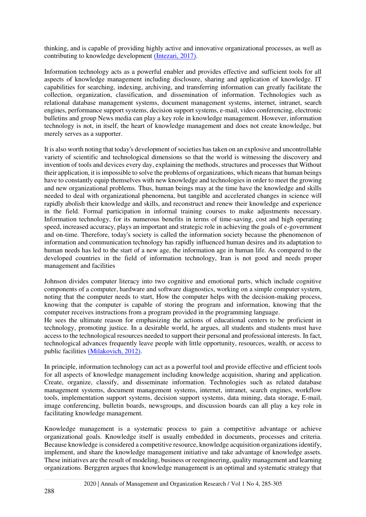thinking, and is capable of providing highly active and innovative organizational processes, as well as contributing to knowledge development (Intezari, 2017).

Information technology acts as a powerful enabler and provides effective and sufficient tools for all aspects of knowledge management including disclosure, sharing and application of knowledge. IT capabilities for searching, indexing, archiving, and transferring information can greatly facilitate the collection, organization, classification, and dissemination of information. Technologies such as relational database management systems, document management systems, internet, intranet, search engines, performance support systems, decision support systems, e-mail, video conferencing, electronic bulletins and group News media can play a key role in knowledge management. However, information technology is not, in itself, the heart of knowledge management and does not create knowledge, but merely serves as a supporter.

It is also worth noting that today's development of societies has taken on an explosive and uncontrollable variety of scientific and technological dimensions so that the world is witnessing the discovery and invention of tools and devices every day, explaining the methods, structures and processes that Without their application, it is impossible to solve the problems of organizations, which means that human beings have to constantly equip themselves with new knowledge and technologies in order to meet the growing and new organizational problems. Thus, human beings may at the time have the knowledge and skills needed to deal with organizational phenomena, but tangible and accelerated changes in science will rapidly abolish their knowledge and skills, and reconstruct and renew their knowledge and experience in the field. Formal participation in informal training courses to make adjustments necessary. Information technology, for its numerous benefits in terms of time-saving, cost and high operating speed, increased accuracy, plays an important and strategic role in achieving the goals of e-government and on-time. Therefore, today's society is called the information society because the phenomenon of information and communication technology has rapidly influenced human desires and its adaptation to human needs has led to the start of a new age, the information age in human life. As compared to the developed countries in the field of information technology, Iran is not good and needs proper management and facilities

Johnson divides computer literacy into two cognitive and emotional parts, which include cognitive components of a computer, hardware and software diagnostics, working on a simple computer system, noting that the computer needs to start, How the computer helps with the decision-making process, knowing that the computer is capable of storing the program and information, knowing that the computer receives instructions from a program provided in the programming language.

He sees the ultimate reason for emphasizing the actions of educational centers to be proficient in technology, promoting justice. In a desirable world, he argues, all students and students must have access to the technological resources needed to support their personal and professional interests. In fact, technological advances frequently leave people with little opportunity, resources, wealth, or access to public facilities [\(Milakovich, 2012\).](#page-19-3)

In principle, information technology can act as a powerful tool and provide effective and efficient tools for all aspects of knowledge management including knowledge acquisition, sharing and application. Create, organize, classify, and disseminate information. Technologies such as related database management systems, document management systems, internet, intranet, search engines, workflow tools, implementation support systems, decision support systems, data mining, data storage, E-mail, image conferencing, bulletin boards, newsgroups, and discussion boards can all play a key role in facilitating knowledge management.

Knowledge management is a systematic process to gain a competitive advantage or achieve organizational goals. Knowledge itself is usually embedded in documents, processes and criteria. Because knowledge is considered a competitive resource, knowledge acquisition organizations identify, implement, and share the knowledge management initiative and take advantage of knowledge assets. These initiatives are the result of modeling, business or reengineering, quality management and learning organizations. Berggren argues that knowledge management is an optimal and systematic strategy that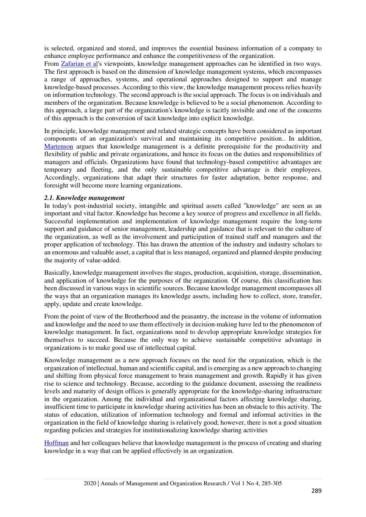is selected, organized and stored, and improves the essential business information of a company to enhance employee performance and enhance the competitiveness of the organization.

From [Zafarian et al's](#page-18-5) viewpoints, knowledge management approaches can be identified in two ways. The first approach is based on the dimension of knowledge management systems, which encompasses a range of approaches, systems, and operational approaches designed to support and manage knowledge-based processes. According to this view, the knowledge management process relies heavily on information technology. The second approach is the social approach. The focus is on individuals and members of the organization. Because knowledge is believed to be a social phenomenon. According to this approach, a large part of the organization's knowledge is tacitly invisible and one of the concerns of this approach is the conversion of tacit knowledge into explicit knowledge.

In principle, knowledge management and related strategic concepts have been considered as important components of an organization's survival and maintaining its competitive position.. In addition, [Martenson](#page-19-4) argues that knowledge management is a definite prerequisite for the productivity and flexibility of public and private organizations, and hence its focus on the duties and responsibilities of managers and officials. Organizations have found that technology-based competitive advantages are temporary and fleeting, and the only sustainable competitive advantage is their employees. Accordingly, organizations that adapt their structures for faster adaptation, better response, and foresight will become more learning organizations.

#### *2.1. Knowledge management*

In today's post-industrial society, intangible and spiritual assets called "knowledge" are seen as an important and vital factor. Knowledge has become a key source of progress and excellence in all fields. Successful implementation and implementation of knowledge management require the long-term support and guidance of senior management, leadership and guidance that is relevant to the culture of the organization, as well as the involvement and participation of trained staff and managers and the proper application of technology. This has drawn the attention of the industry and industry scholars to an enormous and valuable asset, a capital that is less managed, organized and planned despite producing the majority of value-added.

Basically, knowledge management involves the stages, production, acquisition, storage, dissemination, and application of knowledge for the purposes of the organization. Of course, this classification has been discussed in various ways in scientific sources. Because knowledge management encompasses all the ways that an organization manages its knowledge assets, including how to collect, store, transfer, apply, update and create knowledge.

From the point of view of the Brotherhood and the peasantry, the increase in the volume of information and knowledge and the need to use them effectively in decision-making have led to the phenomenon of knowledge management. In fact, organizations need to develop appropriate knowledge strategies for themselves to succeed. Because the only way to achieve sustainable competitive advantage in organizations is to make good use of intellectual capital.

Knowledge management as a new approach focuses on the need for the organization, which is the organization of intellectual, human and scientific capital, and is emerging as a new approach to changing and shifting from physical force management to brain management and growth. Rapidly it has given rise to science and technology. Because, according to the guidance document, assessing the readiness levels and maturity of design offices is generally appropriate for the knowledge-sharing infrastructure in the organization. Among the individual and organizational factors affecting knowledge sharing, insufficient time to participate in knowledge sharing activities has been an obstacle to this activity. The status of education, utilization of information technology and formal and informal activities in the organization in the field of knowledge sharing is relatively good; however, there is not a good situation regarding policies and strategies for institutionalizing knowledge sharing activities

[Hoffman](#page-18-6) and her colleagues believe that knowledge management is the process of creating and sharing knowledge in a way that can be applied effectively in an organization.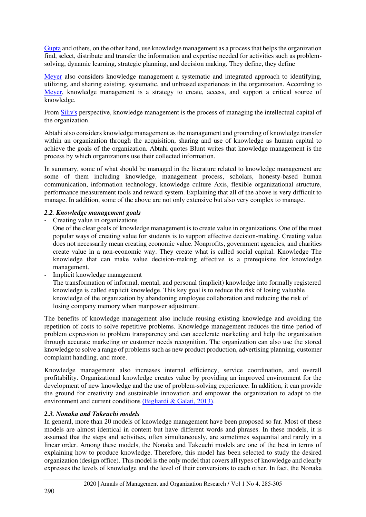[Gupta](#page-18-7) and others, on the other hand, use knowledge management as a process that helps the organization find, select, distribute and transfer the information and expertise needed for activities such as problemsolving, dynamic learning, strategic planning, and decision making. They define, they define

[Meyer](#page-19-5) also considers knowledge management a systematic and integrated approach to identifying, utilizing, and sharing existing, systematic, and unbiased experiences in the organization. According to [Meyer,](#page-19-5) knowledge management is a strategy to create, access, and support a critical source of knowledge.

From [Siliv's](#page-19-6) perspective, knowledge management is the process of managing the intellectual capital of the organization.

Abtahi also considers knowledge management as the management and grounding of knowledge transfer within an organization through the acquisition, sharing and use of knowledge as human capital to achieve the goals of the organization. Abtahi quotes Blunt writes that knowledge management is the process by which organizations use their collected information.

In summary, some of what should be managed in the literature related to knowledge management are some of them including knowledge, management process, scholars, honesty-based human communication, information technology, knowledge culture Axis, flexible organizational structure, performance measurement tools and reward system. Explaining that all of the above is very difficult to manage. In addition, some of the above are not only extensive but also very complex to manage.

#### *2.2. Knowledge management goals*

**-** Creating value in organizations

One of the clear goals of knowledge management is to create value in organizations. One of the most popular ways of creating value for students is to support effective decision-making. Creating value does not necessarily mean creating economic value. Nonprofits, government agencies, and charities create value in a non-economic way. They create what is called social capital. Knowledge The knowledge that can make value decision-making effective is a prerequisite for knowledge management.

**-** Implicit knowledge management

The transformation of informal, mental, and personal (implicit) knowledge into formally registered knowledge is called explicit knowledge. This key goal is to reduce the risk of losing valuable knowledge of the organization by abandoning employee collaboration and reducing the risk of losing company memory when manpower adjustment.

The benefits of knowledge management also include reusing existing knowledge and avoiding the repetition of costs to solve repetitive problems. Knowledge management reduces the time period of problem expression to problem transparency and can accelerate marketing and help the organization through accurate marketing or customer needs recognition. The organization can also use the stored knowledge to solve a range of problems such as new product production, advertising planning, customer complaint handling, and more.

Knowledge management also increases internal efficiency, service coordination, and overall profitability. Organizational knowledge creates value by providing an improved environment for the development of new knowledge and the use of problem-solving experience. In addition, it can provide the ground for creativity and sustainable innovation and empower the organization to adapt to the environment and current conditions [\(Bigliardi & Galati, 2013\).](#page-18-8)

## *2.3. Nonaka and Takeuchi models*

In general, more than 20 models of knowledge management have been proposed so far. Most of these models are almost identical in content but have different words and phrases. In these models, it is assumed that the steps and activities, often simultaneously, are sometimes sequential and rarely in a linear order. Among these models, the Nonaka and Takeuchi models are one of the best in terms of explaining how to produce knowledge. Therefore, this model has been selected to study the desired organization (design office). This model is the only model that covers all types of knowledge and clearly expresses the levels of knowledge and the level of their conversions to each other. In fact, the Nonaka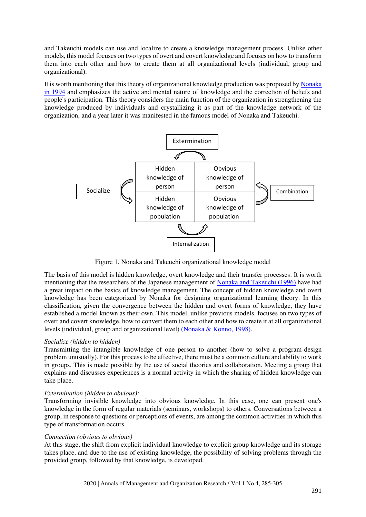and Takeuchi models can use and localize to create a knowledge management process. Unlike other models, this model focuses on two types of overt and covert knowledge and focuses on how to transform them into each other and how to create them at all organizational levels (individual, group and organizational).

It is worth mentioning that this theory of organizational knowledge production was proposed by [Nonaka](#page-19-2)  [in 1994](#page-19-2) and emphasizes the active and mental nature of knowledge and the correction of beliefs and people's participation. This theory considers the main function of the organization in strengthening the knowledge produced by individuals and crystallizing it as part of the knowledge network of the organization, and a year later it was manifested in the famous model of Nonaka and Takeuchi.



Figure 1. Nonaka and Takeuchi organizational knowledge model

The basis of this model is hidden knowledge, overt knowledge and their transfer processes. It is worth mentioning that the researchers of the Japanese management of [Nonaka and Takeuchi \(1996\)](#page-19-2) have had a great impact on the basics of knowledge management. The concept of hidden knowledge and overt knowledge has been categorized by Nonaka for designing organizational learning theory. In this classification, given the convergence between the hidden and overt forms of knowledge, they have established a model known as their own. This model, unlike previous models, focuses on two types of overt and covert knowledge, how to convert them to each other and how to create it at all organizational levels (individual, group and organizational level) [\(Nonaka & Konno, 1998\).](#page-19-1)

## *Socialize (hidden to hidden)*

Transmitting the intangible knowledge of one person to another (how to solve a program-design problem unusually). For this process to be effective, there must be a common culture and ability to work in groups. This is made possible by the use of social theories and collaboration. Meeting a group that explains and discusses experiences is a normal activity in which the sharing of hidden knowledge can take place.

## *Extermination (hidden to obvious):*

Transforming invisible knowledge into obvious knowledge. In this case, one can present one's knowledge in the form of regular materials (seminars, workshops) to others. Conversations between a group, in response to questions or perceptions of events, are among the common activities in which this type of transformation occurs.

## *Connection (obvious to obvious)*

At this stage, the shift from explicit individual knowledge to explicit group knowledge and its storage takes place, and due to the use of existing knowledge, the possibility of solving problems through the provided group, followed by that knowledge, is developed.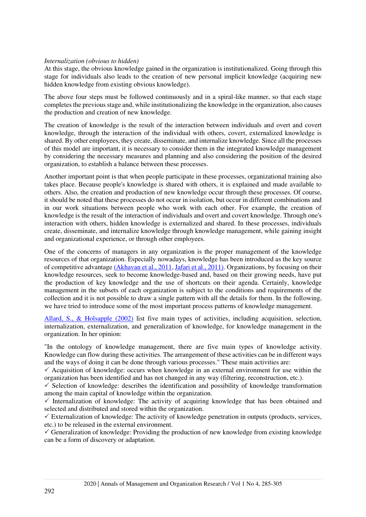#### *Internalization (obvious to hidden)*

At this stage, the obvious knowledge gained in the organization is institutionalized. Going through this stage for individuals also leads to the creation of new personal implicit knowledge (acquiring new hidden knowledge from existing obvious knowledge).

The above four steps must be followed continuously and in a spiral-like manner, so that each stage completes the previous stage and, while institutionalizing the knowledge in the organization, also causes the production and creation of new knowledge.

The creation of knowledge is the result of the interaction between individuals and overt and covert knowledge, through the interaction of the individual with others, covert, externalized knowledge is shared. By other employees, they create, disseminate, and internalize knowledge. Since all the processes of this model are important, it is necessary to consider them in the integrated knowledge management by considering the necessary measures and planning and also considering the position of the desired organization, to establish a balance between these processes.

Another important point is that when people participate in these processes, organizational training also takes place. Because people's knowledge is shared with others, it is explained and made available to others. Also, the creation and production of new knowledge occur through these processes. Of course, it should be noted that these processes do not occur in isolation, but occur in different combinations and in our work situations between people who work with each other. For example, the creation of knowledge is the result of the interaction of individuals and overt and covert knowledge. Through one's interaction with others, hidden knowledge is externalized and shared. In these processes, individuals create, disseminate, and internalize knowledge through knowledge management, while gaining insight and organizational experience, or through other employees.

One of the concerns of managers in any organization is the proper management of the knowledge resources of that organization. Especially nowadays, knowledge has been introduced as the key source of competitive advantage [\(Akhavan et al., 2011,](#page-18-9) [Jafari et al., 2011\).](#page-18-5) Organizations, by focusing on their knowledge resources, seek to become knowledge-based and, based on their growing needs, have put the production of key knowledge and the use of shortcuts on their agenda. Certainly, knowledge management in the subsets of each organization is subject to the conditions and requirements of the collection and it is not possible to draw a single pattern with all the details for them. In the following, we have tried to introduce some of the most important process patterns of knowledge management.

[Allard, S., & Holsapple \(2002\)](#page-18-10) list five main types of activities, including acquisition, selection, internalization, externalization, and generalization of knowledge, for knowledge management in the organization. In her opinion:

"In the ontology of knowledge management, there are five main types of knowledge activity. Knowledge can flow during these activities. The arrangement of these activities can be in different ways and the ways of doing it can be done through various processes." These main activities are:

 $\checkmark$  Acquisition of knowledge: occurs when knowledge in an external environment for use within the organization has been identified and has not changed in any way (filtering, reconstruction, etc.).

 $\checkmark$  Selection of knowledge: describes the identification and possibility of knowledge transformation among the main capital of knowledge within the organization.

 $\checkmark$  Internalization of knowledge: The activity of acquiring knowledge that has been obtained and selected and distributed and stored within the organization.

 $\checkmark$  Externalization of knowledge: The activity of knowledge penetration in outputs (products, services, etc.) to be released in the external environment.

 $\checkmark$  Generalization of knowledge: Providing the production of new knowledge from existing knowledge can be a form of discovery or adaptation.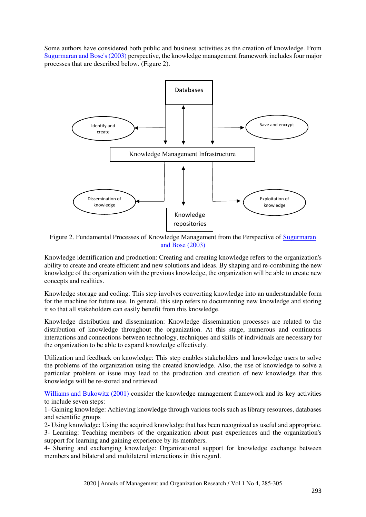Some authors have considered both public and business activities as the creation of knowledge. From [Sugurmaran and Bose's \(2003\)](#page-19-7) perspective, the knowledge management framework includes four major processes that are described below. (Figure 2).



Figure 2. Fundamental Processes of Knowledge Management from the Perspective of Sugurmaran [and Bose](#page-19-7) (2003)

Knowledge identification and production: Creating and creating knowledge refers to the organization's ability to create and create efficient and new solutions and ideas. By shaping and re-combining the new knowledge of the organization with the previous knowledge, the organization will be able to create new concepts and realities.

Knowledge storage and coding: This step involves converting knowledge into an understandable form for the machine for future use. In general, this step refers to documenting new knowledge and storing it so that all stakeholders can easily benefit from this knowledge.

Knowledge distribution and dissemination: Knowledge dissemination processes are related to the distribution of knowledge throughout the organization. At this stage, numerous and continuous interactions and connections between technology, techniques and skills of individuals are necessary for the organization to be able to expand knowledge effectively.

Utilization and feedback on knowledge: This step enables stakeholders and knowledge users to solve the problems of the organization using the created knowledge. Also, the use of knowledge to solve a particular problem or issue may lead to the production and creation of new knowledge that this knowledge will be re-stored and retrieved.

[Williams and Bukowitz \(2001\)](#page-19-8) consider the knowledge management framework and its key activities to include seven steps:

1- Gaining knowledge: Achieving knowledge through various tools such as library resources, databases and scientific groups

2- Using knowledge: Using the acquired knowledge that has been recognized as useful and appropriate. 3- Learning: Teaching members of the organization about past experiences and the organization's support for learning and gaining experience by its members.

4- Sharing and exchanging knowledge: Organizational support for knowledge exchange between members and bilateral and multilateral interactions in this regard.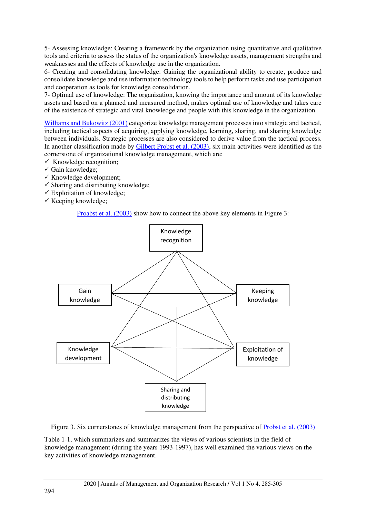5- Assessing knowledge: Creating a framework by the organization using quantitative and qualitative tools and criteria to assess the status of the organization's knowledge assets, management strengths and weaknesses and the effects of knowledge use in the organization.

6- Creating and consolidating knowledge: Gaining the organizational ability to create, produce and consolidate knowledge and use information technology tools to help perform tasks and use participation and cooperation as tools for knowledge consolidation.

7- Optimal use of knowledge: The organization, knowing the importance and amount of its knowledge assets and based on a planned and measured method, makes optimal use of knowledge and takes care of the existence of strategic and vital knowledge and people with this knowledge in the organization.

[Williams and Bukowitz \(2001\)](#page-19-8) categorize knowledge management processes into strategic and tactical, including tactical aspects of acquiring, applying knowledge, learning, sharing, and sharing knowledge between individuals. Strategic processes are also considered to derive value from the tactical process. In another classification made by [Gilbert Probst et al. \(2003\),](#page-19-9) six main activities were identified as the cornerstone of organizational knowledge management, which are:

- $\checkmark$  Knowledge recognition:
- $\checkmark$  Gain knowledge;
- $\checkmark$  Knowledge development:
- $\checkmark$  Sharing and distributing knowledge;
- $\checkmark$  Exploitation of knowledge;
- $\checkmark$  Keeping knowledge;

[Proabst et al. \(2003\)](#page-19-9) show how to connect the above key elements in Figure 3:



Figure 3. Six cornerstones of knowledge management from the perspective of [Probst et al. \(2003\)](#page-19-9)

Table 1-1, which summarizes and summarizes the views of various scientists in the field of knowledge management (during the years 1993-1997), has well examined the various views on the key activities of knowledge management.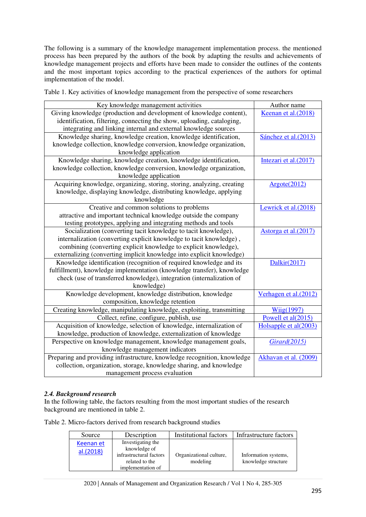The following is a summary of the knowledge management implementation process. the mentioned process has been prepared by the authors of the book by adapting the results and achievements of knowledge management projects and efforts have been made to consider the outlines of the contents and the most important topics according to the practical experiences of the authors for optimal implementation of the model.

Table 1. Key activities of knowledge management from the perspective of some researchers

| Key knowledge management activities                                      | Author name           |
|--------------------------------------------------------------------------|-----------------------|
| Giving knowledge (production and development of knowledge content),      | Keenan et al.(2018)   |
| identification, filtering, connecting the show, uploading, cataloging,   |                       |
| integrating and linking internal and external knowledge sources          |                       |
| Knowledge sharing, knowledge creation, knowledge identification,         | Sánchez et al.(2013)  |
| knowledge collection, knowledge conversion, knowledge organization,      |                       |
| knowledge application                                                    |                       |
| Knowledge sharing, knowledge creation, knowledge identification,         | Intezari et al.(2017) |
| knowledge collection, knowledge conversion, knowledge organization,      |                       |
| knowledge application                                                    |                       |
| Acquiring knowledge, organizing, storing, storing, analyzing, creating   | Argote(2012)          |
| knowledge, displaying knowledge, distributing knowledge, applying        |                       |
| knowledge                                                                |                       |
| Creative and common solutions to problems                                | Lewrick et al.(2018)  |
| attractive and important technical knowledge outside the company         |                       |
| testing prototypes, applying and integrating methods and tools           |                       |
| Socialization (converting tacit knowledge to tacit knowledge),           | Astorga et al.(2017)  |
| internalization (converting explicit knowledge to tacit knowledge),      |                       |
| combining (converting explicit knowledge to explicit knowledge),         |                       |
| externalizing (converting implicit knowledge into explicit knowledge)    |                       |
| Knowledge identification (recognition of required knowledge and its      | Dalkir(2017)          |
| fulfillment), knowledge implementation (knowledge transfer), knowledge   |                       |
| check (use of transferred knowledge), integration (internalization of    |                       |
| knowledge)                                                               |                       |
| Knowledge development, knowledge distribution, knowledge                 | Verhagen et al.(2012) |
| composition, knowledge retention                                         |                       |
| Creating knowledge, manipulating knowledge, exploiting, transmitting     | Wiig(1997)            |
| Collect, refine, configure, publish, use                                 | Powell et al(2015)    |
| Acquisition of knowledge, selection of knowledge, internalization of     | Holsapple et al(2003) |
| knowledge, production of knowledge, externalization of knowledge         |                       |
| Perspective on knowledge management, knowledge management goals,         | Girard(2015)          |
| knowledge management indicators                                          |                       |
| Preparing and providing infrastructure, knowledge recognition, knowledge | Akhavan et al. (2009) |
| collection, organization, storage, knowledge sharing, and knowledge      |                       |
| management process evaluation                                            |                       |

## *2.4. Background research*

In the following table, the factors resulting from the most important studies of the research background are mentioned in table 2.

Table 2. Micro-factors derived from research background studies

| Source                 | Description                                                                                         | Institutional factors               | Infrastructure factors                      |
|------------------------|-----------------------------------------------------------------------------------------------------|-------------------------------------|---------------------------------------------|
| Keenan et<br>al.(2018) | Investigating the<br>knowledge of<br>infrastructural factors<br>related to the<br>implementation of | Organizational culture,<br>modeling | Information systems,<br>knowledge structure |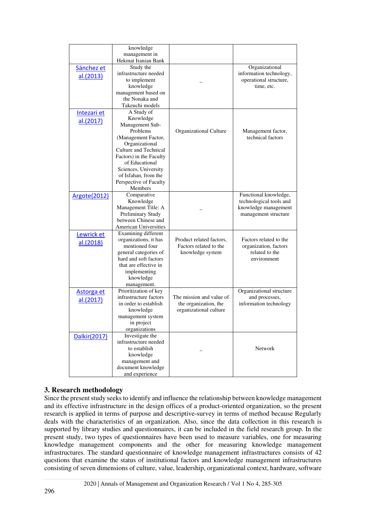|              | knowledge                    |                          |                          |
|--------------|------------------------------|--------------------------|--------------------------|
|              | management in                |                          |                          |
|              | Hekmat Iranian Bank          |                          |                          |
| Sánchez et   | Study the                    |                          | Organizational           |
| al.(2013)    | infrastructure needed        |                          | information technology,  |
|              | to implement                 |                          | operational structure,   |
|              | knowledge                    |                          | time, etc.               |
|              | management based on          |                          |                          |
|              | the Nonaka and               |                          |                          |
|              | Takeuchi models              |                          |                          |
| Intezari et  | A Study of                   |                          |                          |
| al.(2017)    | Knowledge                    |                          |                          |
|              | Management Sub-              |                          |                          |
|              | Problems                     | Organizational Culture   | Management factor,       |
|              | (Management Factor,          |                          | technical factors        |
|              | Organizational               |                          |                          |
|              | Culture and Technical        |                          |                          |
|              | Factors) in the Faculty      |                          |                          |
|              | of Educational               |                          |                          |
|              | Sciences, University         |                          |                          |
|              | of Isfahan, from the         |                          |                          |
|              | Perspective of Faculty       |                          |                          |
|              | Members                      |                          |                          |
| Argote(2012) | Comparative                  |                          | Functional knowledge,    |
|              | Knowledge                    |                          | technological tools and  |
|              | Management Title: A          |                          | knowledge management     |
|              | Preliminary Study            |                          | management structure     |
|              | between Chinese and          |                          |                          |
|              | <b>American Universities</b> |                          |                          |
| Lewrick et   | Examining different          |                          |                          |
| al.(2018)    | organizations, it has        | Product related factors, | Factors related to the   |
|              | mentioned four               | Factors related to the   | organization, factors    |
|              | general categories of        | knowledge system         | related to the           |
|              | hard and soft factors        |                          | environment              |
|              | that are effective in        |                          |                          |
|              | implementing                 |                          |                          |
|              | knowledge                    |                          |                          |
|              | management.                  |                          |                          |
| Astorga et   | Prioritization of key        |                          | Organizational structure |
| al.(2017)    | infrastructure factors       | The mission and value of | and processes,           |
|              | in order to establish        | the organization, the    | information technology   |
|              | knowledge                    | organizational culture   |                          |
|              | management system            |                          |                          |
|              | in project                   |                          |                          |
|              | organizations                |                          |                          |
| Dalkir(2017) | Investigate the              |                          |                          |
|              | infrastructure needed        |                          |                          |
|              | to establish                 |                          | Network                  |
|              | knowledge                    |                          |                          |
|              | management and               |                          |                          |
|              | document knowledge           |                          |                          |
|              | and experience               |                          |                          |

## **3. Research methodology**

Since the present study seeks to identify and influence the relationship between knowledge management and its effective infrastructure in the design offices of a product-oriented organization, so the present research is applied in terms of purpose and descriptive-survey in terms of method because Regularly deals with the characteristics of an organization. Also, since the data collection in this research is supported by library studies and questionnaires, it can be included in the field research group. In the present study, two types of questionnaires have been used to measure variables, one for measuring knowledge management components and the other for measuring knowledge management infrastructures. The standard questionnaire of knowledge management infrastructures consists of 42 questions that examine the status of institutional factors and knowledge management infrastructures consisting of seven dimensions of culture, value, leadership, organizational context, hardware, software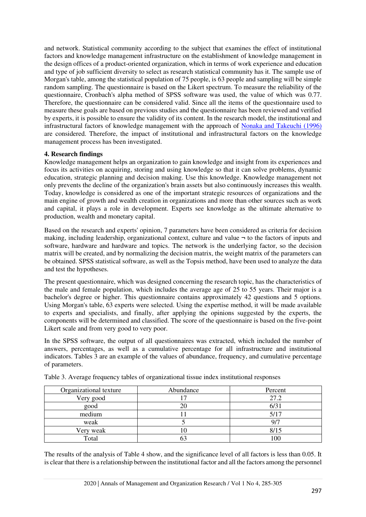and network. Statistical community according to the subject that examines the effect of institutional factors and knowledge management infrastructure on the establishment of knowledge management in the design offices of a product-oriented organization, which in terms of work experience and education and type of job sufficient diversity to select as research statistical community has it. The sample use of Morgan's table, among the statistical population of 75 people, is 63 people and sampling will be simple random sampling. The questionnaire is based on the Likert spectrum. To measure the reliability of the questionnaire, Cronbach's alpha method of SPSS software was used, the value of which was 0.77. Therefore, the questionnaire can be considered valid. Since all the items of the questionnaire used to measure these goals are based on previous studies and the questionnaire has been reviewed and verified by experts, it is possible to ensure the validity of its content. In the research model, the institutional and infrastructural factors of knowledge management with the approach of [Nonaka and Takeuchi \(1996\)](#page-19-2) are considered. Therefore, the impact of institutional and infrastructural factors on the knowledge management process has been investigated.

## **4. Research findings**

Knowledge management helps an organization to gain knowledge and insight from its experiences and focus its activities on acquiring, storing and using knowledge so that it can solve problems, dynamic education, strategic planning and decision making. Use this knowledge. Knowledge management not only prevents the decline of the organization's brain assets but also continuously increases this wealth. Today, knowledge is considered as one of the important strategic resources of organizations and the main engine of growth and wealth creation in organizations and more than other sources such as work and capital, it plays a role in development. Experts see knowledge as the ultimate alternative to production, wealth and monetary capital.

Based on the research and experts' opinion, 7 parameters have been considered as criteria for decision making, including leadership, organizational context, culture and value  $\neg$  to the factors of inputs and software, hardware and hardware and topics. The network is the underlying factor, so the decision matrix will be created, and by normalizing the decision matrix, the weight matrix of the parameters can be obtained. SPSS statistical software, as well as the Topsis method, have been used to analyze the data and test the hypotheses.

The present questionnaire, which was designed concerning the research topic, has the characteristics of the male and female population, which includes the average age of 25 to 55 years. Their major is a bachelor's degree or higher. This questionnaire contains approximately 42 questions and 5 options. Using Morgan's table, 63 experts were selected. Using the expertise method, it will be made available to experts and specialists, and finally, after applying the opinions suggested by the experts, the components will be determined and classified. The score of the questionnaire is based on the five-point Likert scale and from very good to very poor.

In the SPSS software, the output of all questionnaires was extracted, which included the number of answers, percentages, as well as a cumulative percentage for all infrastructure and institutional indicators. Tables 3 are an example of the values of abundance, frequency, and cumulative percentage of parameters.

| Organizational texture | Abundance | Percent |
|------------------------|-----------|---------|
| Very good              |           | 27.2    |
| good                   |           | 6/31    |
| medium                 |           | 5/17    |
| weak                   |           | 9/7     |
| Very weak              |           | 8/15    |
| Total                  |           | .00     |

Table 3. Average frequency tables of organizational tissue index institutional responses

The results of the analysis of Table 4 show, and the significance level of all factors is less than 0.05. It is clear that there is a relationship between the institutional factor and all the factors among the personnel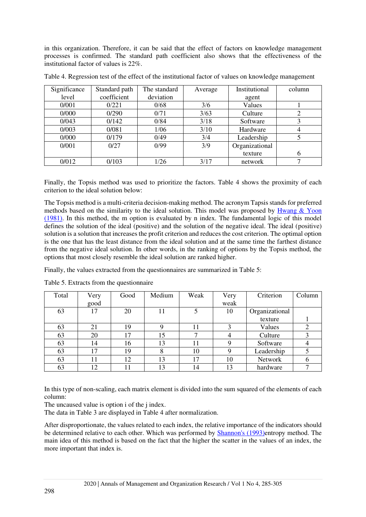in this organization. Therefore, it can be said that the effect of factors on knowledge management processes is confirmed. The standard path coefficient also shows that the effectiveness of the institutional factor of values is 22%.

| Significance | Standard path | The standard | Average | Institutional  | column |
|--------------|---------------|--------------|---------|----------------|--------|
| level        | coefficient   | deviation    |         | agent          |        |
| 0/001        | 0/221         | 0/68         | 3/6     | Values         |        |
| 0/000        | 0/290         | 0/71         | 3/63    | Culture        | ⌒      |
| 0/043        | 0/142         | 0/84         | 3/18    | Software       | 3      |
| 0/003        | 0/081         | 1/06         | 3/10    | Hardware       | 4      |
| 0/000        | 0/179         | 0/49         | 3/4     | Leadership     |        |
| 0/001        | 0/27          | 0/99         | 3/9     | Organizational |        |
|              |               |              |         | texture        | 6      |
| 0/012        | 0/103         | 1/26         | 3/17    | network        |        |

Table 4. Regression test of the effect of the institutional factor of values on knowledge management

Finally, the Topsis method was used to prioritize the factors. Table 4 shows the proximity of each criterion to the ideal solution below:

The Topsis method is a multi-criteria decision-making method. The acronym Tapsis stands for preferred methods based on the similarity to the ideal solution. This model was proposed by [Hwang & Yoon](#page-18-18)  [\(1981\).](#page-18-18) In this method, the m option is evaluated by n index. The fundamental logic of this model defines the solution of the ideal (positive) and the solution of the negative ideal. The ideal (positive) solution is a solution that increases the profit criterion and reduces the cost criterion. The optimal option is the one that has the least distance from the ideal solution and at the same time the farthest distance from the negative ideal solution. In other words, in the ranking of options by the Topsis method, the options that most closely resemble the ideal solution are ranked higher.

Finally, the values extracted from the questionnaires are summarized in Table 5:

| Total | Very | Good | Medium | Weak | Very | Criterion      | Column |
|-------|------|------|--------|------|------|----------------|--------|
|       | good |      |        |      | weak |                |        |
| 63    | 17   | 20   | 11     |      | 10   | Organizational |        |
|       |      |      |        |      |      | texture        |        |
| 63    | 21   | 19   | Q      | 11   |      | Values         |        |
| 63    | 20   | 17   | 15     |      |      | Culture        |        |
| 63    | 14   | 16   | 13     | 11   |      | Software       |        |
| 63    | 17   | 19   |        | 10   |      | Leadership     |        |
| 63    |      | 12   | 13     | 17   | 10   | Network        |        |
| 63    | 12   | 11   | 13     | 14   | 13   | hardware       |        |

Table 5. Extracts from the questionnaire

In this type of non-scaling, each matrix element is divided into the sum squared of the elements of each column:

The uncaused value is option i of the j index.

The data in Table 3 are displayed in Table 4 after normalization.

After disproportionate, the values related to each index, the relative importance of the indicators should be determined relative to each other. Which was performed by **Shannon's (1993)**entropy method. The main idea of this method is based on the fact that the higher the scatter in the values of an index, the more important that index is.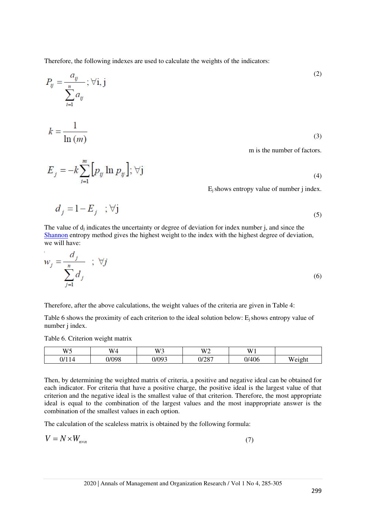Therefore, the following indexes are used to calculate the weights of the indicators:

$$
P_{ij} = \frac{a_{ij}}{\sum_{i=1}^{n} a_{ij}}; \forall i, j
$$
\n
$$
k = \frac{1}{\ln(m)}
$$
\n(3)\n
$$
\text{m is the number of factors.}
$$

(4)

 $E_i$  shows entropy value of number j index.

$$
d_j = 1 - E_j \quad ; \forall j \tag{5}
$$

The value of  $d_i$  indicates the uncertainty or degree of deviation for index number j, and since the [Shannon](#page-19-15) entropy method gives the highest weight to the index with the highest degree of deviation, we will have:

$$
w_j = \frac{d_j}{\sum_{j=1}^n d_j} \quad ; \quad \forall j
$$

Therefore, after the above calculations, the weight values of the criteria are given in Table 4:

Table 6 shows the proximity of each criterion to the ideal solution below:  $E_i$  shows entropy value of number j index.

Table 6. Criterion weight matrix

 $E_j = -k \sum_{i=1}^{m} [p_{ij} \ln p_{ij}], \forall j$ 

| W5<br>$\overline{\phantom{0}}$ | <b>TTT</b><br>W | W <sup>3</sup>             | <b>TTTO</b><br>W.<br>- | W <sub>1</sub>      |                     |
|--------------------------------|-----------------|----------------------------|------------------------|---------------------|---------------------|
| IJ<br>$\overline{\phantom{a}}$ | 0/098           | $1/00^{\circ}$<br><u>.</u> | 0/007<br>⊍⊭∠ຽ          | ላ ሰራ<br>IJΓ<br>TV U | <b>TT</b><br>Weigh. |

Then, by determining the weighted matrix of criteria, a positive and negative ideal can be obtained for each indicator. For criteria that have a positive charge, the positive ideal is the largest value of that criterion and the negative ideal is the smallest value of that criterion. Therefore, the most appropriate ideal is equal to the combination of the largest values and the most inappropriate answer is the combination of the smallest values in each option.

The calculation of the scaleless matrix is obtained by the following formula:

$$
V = N \times W_{n \times n} \tag{7}
$$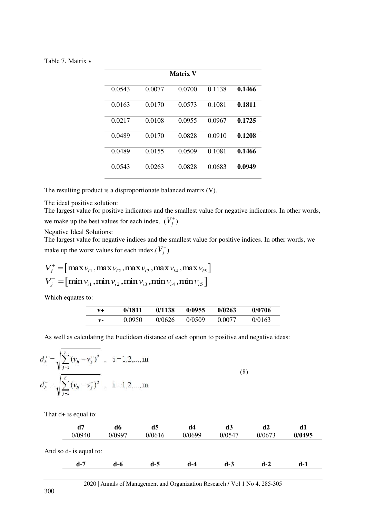|        |        | <b>Matrix V</b> |        |        |
|--------|--------|-----------------|--------|--------|
| 0.0543 | 0.0077 | 0.0700          | 0.1138 | 0.1466 |
| 0.0163 | 0.0170 | 0.0573          | 0.1081 | 0.1811 |
| 0.0217 | 0.0108 | 0.0955          | 0.0967 | 0.1725 |
| 0.0489 | 0.0170 | 0.0828          | 0.0910 | 0.1208 |
| 0.0489 | 0.0155 | 0.0509          | 0.1081 | 0.1466 |
| 0.0543 | 0.0263 | 0.0828          | 0.0683 | 0.0949 |

The resulting product is a disproportionate balanced matrix (V).

The ideal positive solution:

The largest value for positive indicators and the smallest value for negative indicators. In other words, we make up the best values for each index.  $(V_j^+)$ 

Negative Ideal Solutions:

The largest value for negative indices and the smallest value for positive indices. In other words, we make up the worst values for each index. $(V_j^-)$ 

$$
V_j^+ = [\max v_{i1}, \max v_{i2}, \max v_{i3}, \max v_{i4}, \max v_{i5}]
$$
  

$$
V_j^- = [\min v_{i1}, \min v_{i2}, \min v_{i3}, \min v_{i4}, \min v_{i5}]
$$

Which equates to:

Î.

| v+    | 0/1811 | 0/1138 | 0/0955 | 0/0263 | 0/0706 |
|-------|--------|--------|--------|--------|--------|
| $V -$ | 0.0950 | 0/0626 | 0/0509 | 0.0077 | 0/0163 |

As well as calculating the Euclidean distance of each option to positive and negative ideas:

$$
d_i^+ = \sqrt{\sum_{j=1}^n (v_{ij} - v_j^+)^2}, \quad i = 1, 2, ..., m
$$
  

$$
d_i^- = \sqrt{\sum_{j=1}^n (v_{ij} - v_j^-)^2}, \quad i = 1, 2, ..., m
$$
 (8)

That  $d+$  is equal to:

|                        | d6     | d5     | d4     | d3     | d2     | d1     |
|------------------------|--------|--------|--------|--------|--------|--------|
| 0/0940                 | 0/0997 | 0/0616 | 0/0699 | 0/0547 | 0/0673 | 0/0495 |
| And so d- is equal to: |        |        |        |        |        |        |
| $d-7$                  | d-6    | $d-5$  | d-4    | $d-3$  | $d-2$  | d-1    |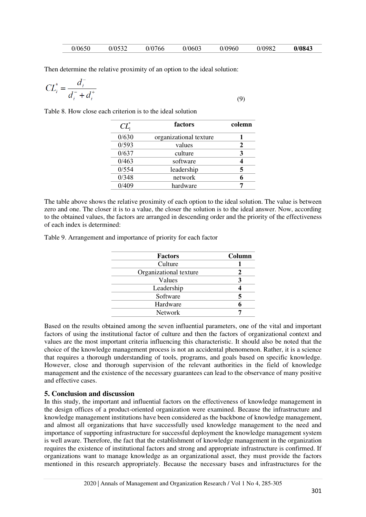| 0/0603<br>0/0650<br>0/0532<br>0/0982<br>0/0960<br>J/0766 |  | 0/0843 |
|----------------------------------------------------------|--|--------|
|----------------------------------------------------------|--|--------|

Then determine the relative proximity of an option to the ideal solution:

$$
CL_i^* = \frac{d_i^-}{d_i^- + d_i^+}
$$
\n(9)

Table 8. How close each criterion is to the ideal solution

| $\textit{CL}^*_i$ | factors                | colemn |
|-------------------|------------------------|--------|
| 0/630             | organizational texture |        |
| 0/593             | values                 |        |
| 0/637             | culture                |        |
| 0/463             | software               |        |
| 0/554             | leadership             |        |
| 0/348             | network                |        |
| 0/409             | hardware               |        |
|                   |                        |        |

The table above shows the relative proximity of each option to the ideal solution. The value is between zero and one. The closer it is to a value, the closer the solution is to the ideal answer. Now, according to the obtained values, the factors are arranged in descending order and the priority of the effectiveness of each index is determined:

Table 9. Arrangement and importance of priority for each factor

| <b>Factors</b>         | Column |
|------------------------|--------|
| Culture                |        |
| Organizational texture |        |
| Values                 |        |
| Leadership             |        |
| Software               |        |
| Hardware               |        |
| <b>Network</b>         |        |
|                        |        |

Based on the results obtained among the seven influential parameters, one of the vital and important factors of using the institutional factor of culture and then the factors of organizational context and values are the most important criteria influencing this characteristic. It should also be noted that the choice of the knowledge management process is not an accidental phenomenon. Rather, it is a science that requires a thorough understanding of tools, programs, and goals based on specific knowledge. However, close and thorough supervision of the relevant authorities in the field of knowledge management and the existence of the necessary guarantees can lead to the observance of many positive and effective cases.

#### **5. Conclusion and discussion**

In this study, the important and influential factors on the effectiveness of knowledge management in the design offices of a product-oriented organization were examined. Because the infrastructure and knowledge management institutions have been considered as the backbone of knowledge management, and almost all organizations that have successfully used knowledge management to the need and importance of supporting infrastructure for successful deployment the knowledge management system is well aware. Therefore, the fact that the establishment of knowledge management in the organization requires the existence of institutional factors and strong and appropriate infrastructure is confirmed. If organizations want to manage knowledge as an organizational asset, they must provide the factors mentioned in this research appropriately. Because the necessary bases and infrastructures for the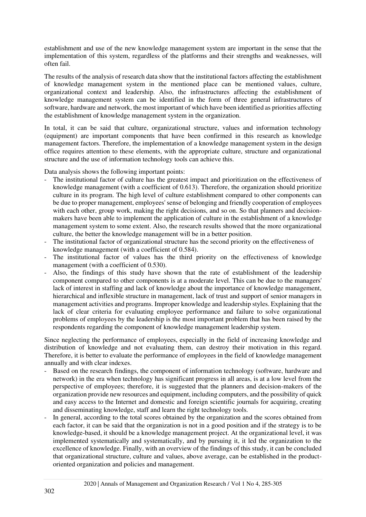establishment and use of the new knowledge management system are important in the sense that the implementation of this system, regardless of the platforms and their strengths and weaknesses, will often fail.

The results of the analysis of research data show that the institutional factors affecting the establishment of knowledge management system in the mentioned place can be mentioned values, culture, organizational context and leadership. Also, the infrastructures affecting the establishment of knowledge management system can be identified in the form of three general infrastructures of software, hardware and network, the most important of which have been identified as priorities affecting the establishment of knowledge management system in the organization.

In total, it can be said that culture, organizational structure, values and information technology (equipment) are important components that have been confirmed in this research as knowledge management factors. Therefore, the implementation of a knowledge management system in the design office requires attention to these elements, with the appropriate culture, structure and organizational structure and the use of information technology tools can achieve this.

Data analysis shows the following important points:

- The institutional factor of culture has the greatest impact and prioritization on the effectiveness of knowledge management (with a coefficient of 0.613). Therefore, the organization should prioritize culture in its program. The high level of culture establishment compared to other components can be due to proper management, employees' sense of belonging and friendly cooperation of employees with each other, group work, making the right decisions, and so on. So that planners and decisionmakers have been able to implement the application of culture in the establishment of a knowledge management system to some extent. Also, the research results showed that the more organizational culture, the better the knowledge management will be in a better position.
- The institutional factor of organizational structure has the second priority on the effectiveness of knowledge management (with a coefficient of 0.584).
- The institutional factor of values has the third priority on the effectiveness of knowledge management (with a coefficient of 0.530).
- Also, the findings of this study have shown that the rate of establishment of the leadership component compared to other components is at a moderate level. This can be due to the managers' lack of interest in staffing and lack of knowledge about the importance of knowledge management, hierarchical and inflexible structure in management, lack of trust and support of senior managers in management activities and programs. Improper knowledge and leadership styles. Explaining that the lack of clear criteria for evaluating employee performance and failure to solve organizational problems of employees by the leadership is the most important problem that has been raised by the respondents regarding the component of knowledge management leadership system.

Since neglecting the performance of employees, especially in the field of increasing knowledge and distribution of knowledge and not evaluating them, can destroy their motivation in this regard. Therefore, it is better to evaluate the performance of employees in the field of knowledge management annually and with clear indexes.

- Based on the research findings, the component of information technology (software, hardware and network) in the era when technology has significant progress in all areas, is at a low level from the perspective of employees; therefore, it is suggested that the planners and decision-makers of the organization provide new resources and equipment, including computers, and the possibility of quick and easy access to the Internet and domestic and foreign scientific journals for acquiring, creating and disseminating knowledge, staff and learn the right technology tools.
- In general, according to the total scores obtained by the organization and the scores obtained from each factor, it can be said that the organization is not in a good position and if the strategy is to be knowledge-based, it should be a knowledge management project. At the organizational level, it was implemented systematically and systematically, and by pursuing it, it led the organization to the excellence of knowledge. Finally, with an overview of the findings of this study, it can be concluded that organizational structure, culture and values, above average, can be established in the productoriented organization and policies and management.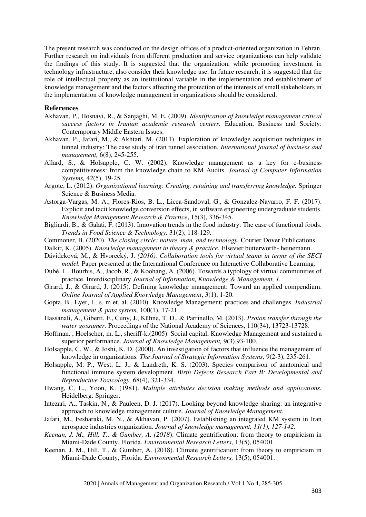The present research was conducted on the design offices of a product-oriented organization in Tehran. Further research on individuals from different production and service organizations can help validate the findings of this study. It is suggested that the organization, while promoting investment in technology infrastructure, also consider their knowledge use. In future research, it is suggested that the role of intellectual property as an institutional variable in the implementation and establishment of knowledge management and the factors affecting the protection of the interests of small stakeholders in the implementation of knowledge management in organizations should be considered.

#### **References**

- <span id="page-18-16"></span>Akhavan, P., Hosnavi, R., & Sanjaghi, M. E. (2009). *Identification of knowledge management critical success factors in Iranian academic research centers.* Education, Business and Society: Contemporary Middle Eastern Issues.
- <span id="page-18-9"></span>Akhavan, P., Jafari, M., & Akhtari, M. (2011). Exploration of knowledge acquisition techniques in tunnel industry: The case study of iran tunnel association*. International journal of business and management,* 6(8), 245-255.
- <span id="page-18-10"></span>Allard, S., & Holsapple, C. W. (2002). Knowledge management as a key for e-business competitiveness: from the knowledge chain to KM Audits. *Journal of Computer Information Systems,* 42(5), 19-25*.*
- Argote, L. (2012). *Organizational learning: Creating, retaining and transferring knowledge.* Springer Science & Business Media.
- <span id="page-18-12"></span>Astorga-Vargas, M. A., Flores-Rios, B. L., Licea-Sandoval, G., & Gonzalez-Navarro, F. F. (2017). Explicit and tacit knowledge conversion effects, in software engineering undergraduate students. *Knowledge Management Research & Practice*, 15(3), 336-345.
- <span id="page-18-8"></span>Bigliardi, B., & Galati, F. (2013). Innovation trends in the food industry: The case of functional foods. *Trends in Food Science & Technology,* 31(2), 118-129.
- <span id="page-18-2"></span>Commoner, B. (2020). *The closing circle: nature, man, and technology.* Courier Dover Publications.
- <span id="page-18-13"></span>Dalkir, K. (2005). *Knowledge management in theory & practice.* Elsevier butterworth- heinemann.
- <span id="page-18-1"></span>Dávideková, M., & Hvorecký, J. *(2016). Collaboration tools for virtual teams in terms of the SECI model.* Paper presented at the International Conference on Interactive Collaborative Learning.
- <span id="page-18-0"></span>Dubé, L., Bourhis, A., Jacob, R., & Koohang, A. (2006). Towards a typology of virtual communities of practice. Interdisciplinary *Journal of Information, Knowledge & Management, 1.*
- <span id="page-18-15"></span>Girard, J., & Girard, J. (2015). Defining knowledge management: Toward an applied compendium. *Online Journal of Applied Knowledge Management*, 3(1), 1-20.
- <span id="page-18-7"></span>Gopta, B., Lyer, L. s. m et, al. (2010). Knowledge Management: practices and challenges. *Industrial management & pata system,* 100(1), 17-21.
- <span id="page-18-4"></span>Hassanali, A., Giberti, F., Cuny, J., Kühne, T. D., & Parrinello, M. (2013). *Proton transfer through the water gossamer.* Proceedings of the National Academy of Sciences, 110(34), 13723-13728.
- <span id="page-18-6"></span>Hoffman. , Hoelscher, m. L., sheriff-k.(2005). Social capital, Knowledge Management and sustained a superior performance. *Journal of Knowledge Management,* 9(3).93-100.
- <span id="page-18-3"></span>Holsapple, C. W., & Joshi, K. D. (2000). An investigation of factors that influence the management of knowledge in organizations*. The Journal of Strategic Information Systems,* 9(2-3), 235-261.
- <span id="page-18-14"></span>Holsapple, M. P., West, L. J., & Landreth, K. S. (2003). Species comparison of anatomical and functional immune system development. *Birth Defects Research Part B: Developmental and Reproductive Toxicology,* 68(4), 321-334.
- <span id="page-18-18"></span>Hwang, C. L., Yoon, K. (1981). *Multiple attributes decision making methods and applications.*  Heidelberg: Springer.
- Intezari, A., Taskin, N., & Pauleen, D. J. (2017). Looking beyond knowledge sharing: an integrative approach to knowledge management culture. *Journal of Knowledge Management.*
- <span id="page-18-5"></span>Jafari, M., Fesharaki, M. N., & Akhavan, P. (2007). Establishing an integrated KM system in Iran aerospace industries organization. *Journal of knowledge management, 11(1), 127-142.*
- <span id="page-18-11"></span>*Keenan, J. M., Hill, T., & Gumber, A. (2018*). Climate gentrification: from theory to empiricism in Miami-Dade County, Florida. *Environmental Research Letters*, 13(5), 054001*.*
- <span id="page-18-17"></span>Keenan, J. M., Hill, T., & Gumber, A. (2018). Climate gentrification: from theory to empiricism in Miami-Dade County, Florida*. Environmental Research Letters,* 13(5), 054001.